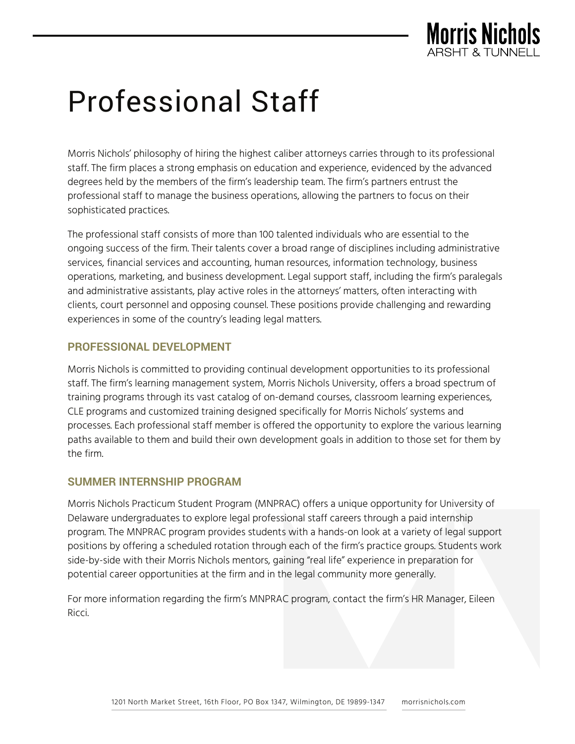

# Professional Staff

Morris Nichols' philosophy of hiring the highest caliber attorneys carries through to its professional staff. The firm places a strong emphasis on education and experience, evidenced by the advanced degrees held by the members of the firm's leadership team. The firm's partners entrust the professional staff to manage the business operations, allowing the partners to focus on their sophisticated practices.

The professional staff consists of more than 100 talented individuals who are essential to the ongoing success of the firm. Their talents cover a broad range of disciplines including administrative services, financial services and accounting, human resources, information technology, business operations, marketing, and business development. Legal support staff, including the firm's paralegals and administrative assistants, play active roles in the attorneys' matters, often interacting with clients, court personnel and opposing counsel. These positions provide challenging and rewarding experiences in some of the country's leading legal matters.

# **PROFESSIONAL DEVELOPMENT**

Morris Nichols is committed to providing continual development opportunities to its professional staff. The firm's learning management system, Morris Nichols University, offers a broad spectrum of training programs through its vast catalog of on-demand courses, classroom learning experiences, CLE programs and customized training designed specifically for Morris Nichols' systems and processes. Each professional staff member is offered the opportunity to explore the various learning paths available to them and build their own development goals in addition to those set for them by the firm.

### **SUMMER INTERNSHIP PROGRAM**

Morris Nichols Practicum Student Program (MNPRAC) offers a unique opportunity for University of Delaware undergraduates to explore legal professional staff careers through a paid internship program. The MNPRAC program provides students with a hands-on look at a variety of legal support positions by offering a scheduled rotation through each of the firm's practice groups. Students work side-by-side with their Morris Nichols mentors, gaining "real life" experience in preparation for potential career opportunities at the firm and in the legal community more generally.

For more information regarding the firm's MNPRAC program, contact the firm's HR Manager, Eileen Ricci.